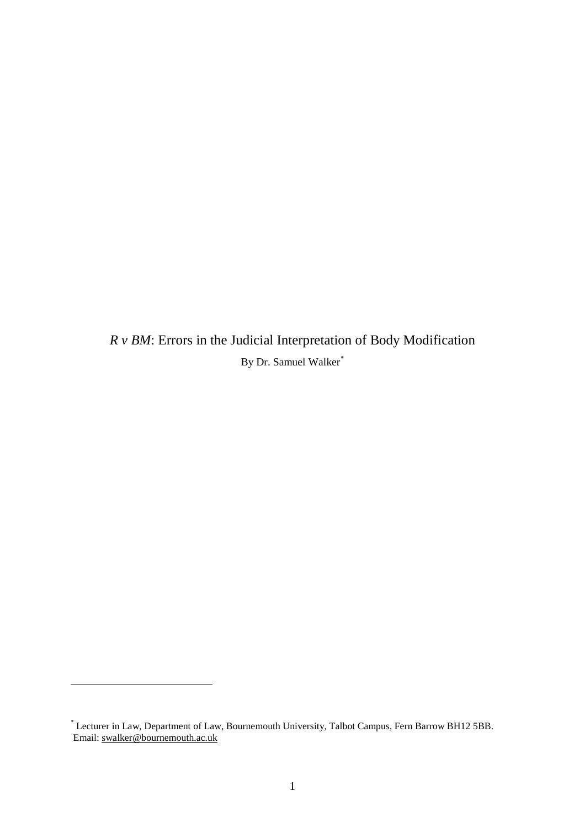*R v BM*: Errors in the Judicial Interpretation of Body Modification By Dr. Samuel Walker[\\*](#page-0-0)

<span id="page-0-0"></span> $\overline{a}$ 

<sup>\*</sup> Lecturer in Law, Department of Law, Bournemouth University, Talbot Campus, Fern Barrow BH12 5BB. Email[: swalker@bournemouth.ac.uk](mailto:swalker@bournemouth.ac.uk)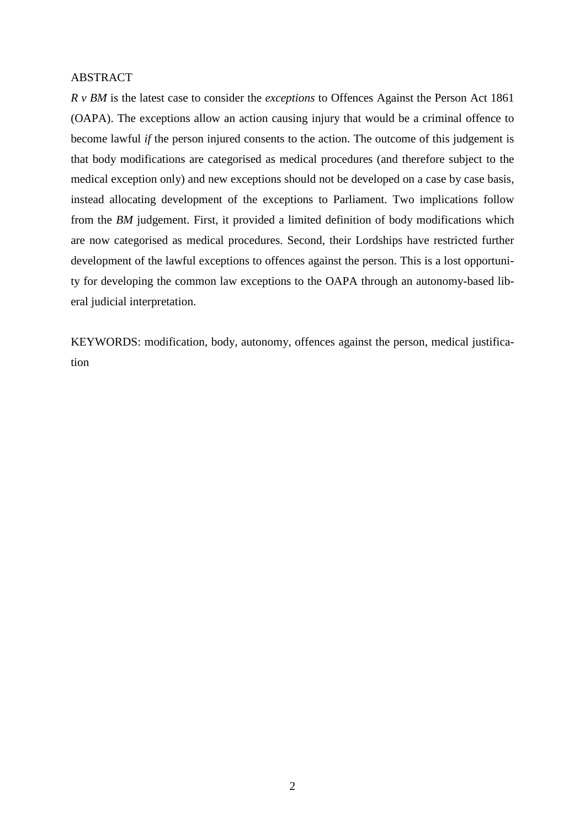### ABSTRACT

*R v BM* is the latest case to consider the *exceptions* to Offences Against the Person Act 1861 (OAPA). The exceptions allow an action causing injury that would be a criminal offence to become lawful *if* the person injured consents to the action. The outcome of this judgement is that body modifications are categorised as medical procedures (and therefore subject to the medical exception only) and new exceptions should not be developed on a case by case basis, instead allocating development of the exceptions to Parliament. Two implications follow from the *BM* judgement. First, it provided a limited definition of body modifications which are now categorised as medical procedures. Second, their Lordships have restricted further development of the lawful exceptions to offences against the person. This is a lost opportunity for developing the common law exceptions to the OAPA through an autonomy-based liberal judicial interpretation.

KEYWORDS: modification, body, autonomy, offences against the person, medical justification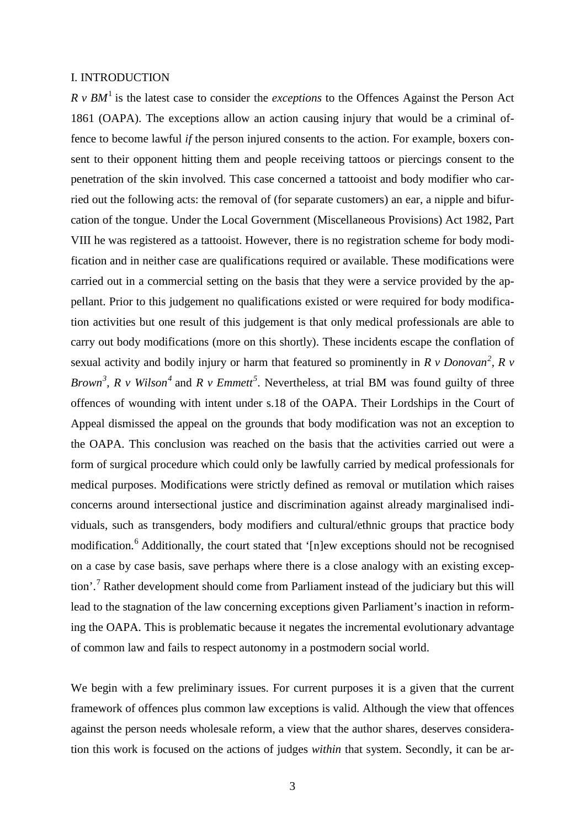#### I. INTRODUCTION

*R v BM*[1](#page-4-0) is the latest case to consider the *exceptions* to the Offences Against the Person Act 1861 (OAPA). The exceptions allow an action causing injury that would be a criminal offence to become lawful *if* the person injured consents to the action. For example, boxers consent to their opponent hitting them and people receiving tattoos or piercings consent to the penetration of the skin involved. This case concerned a tattooist and body modifier who carried out the following acts: the removal of (for separate customers) an ear, a nipple and bifurcation of the tongue. Under the Local Government (Miscellaneous Provisions) Act 1982, Part VIII he was registered as a tattooist. However, there is no registration scheme for body modification and in neither case are qualifications required or available. These modifications were carried out in a commercial setting on the basis that they were a service provided by the appellant. Prior to this judgement no qualifications existed or were required for body modification activities but one result of this judgement is that only medical professionals are able to carry out body modifications (more on this shortly). These incidents escape the conflation of sexual activity and bodily injury or harm that featured so prominently in *R v Donovan[2](#page-4-1)* , *R v Brown[3](#page-4-2)* , *R v Wilson[4](#page-4-3)* and *R v Emmett[5](#page-4-4)* . Nevertheless, at trial BM was found guilty of three offences of wounding with intent under s.18 of the OAPA. Their Lordships in the Court of Appeal dismissed the appeal on the grounds that body modification was not an exception to the OAPA. This conclusion was reached on the basis that the activities carried out were a form of surgical procedure which could only be lawfully carried by medical professionals for medical purposes. Modifications were strictly defined as removal or mutilation which raises concerns around intersectional justice and discrimination against already marginalised individuals, such as transgenders, body modifiers and cultural/ethnic groups that practice body modification.<sup>[6](#page-4-5)</sup> Additionally, the court stated that '[n]ew exceptions should not be recognised on a case by case basis, save perhaps where there is a close analogy with an existing exception'.[7](#page-4-6) Rather development should come from Parliament instead of the judiciary but this will lead to the stagnation of the law concerning exceptions given Parliament's inaction in reforming the OAPA. This is problematic because it negates the incremental evolutionary advantage of common law and fails to respect autonomy in a postmodern social world.

We begin with a few preliminary issues. For current purposes it is a given that the current framework of offences plus common law exceptions is valid. Although the view that offences against the person needs wholesale reform, a view that the author shares, deserves consideration this work is focused on the actions of judges *within* that system. Secondly, it can be ar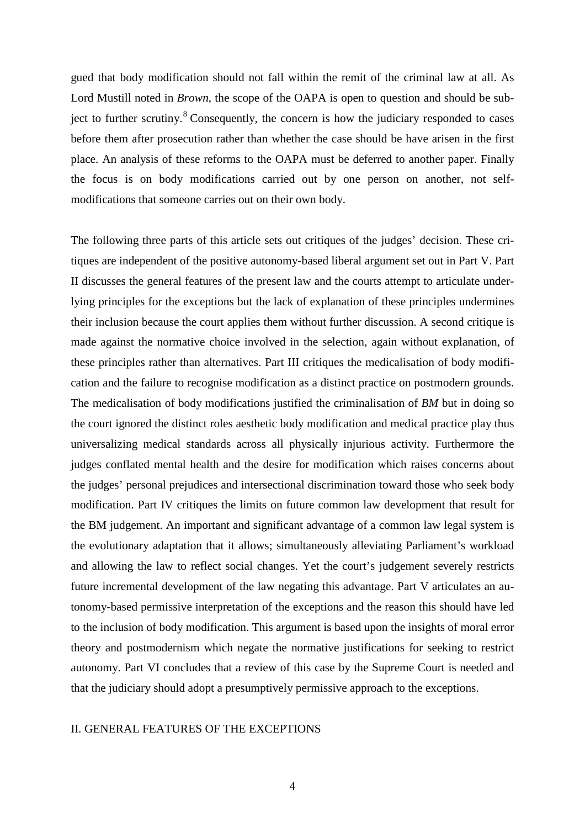gued that body modification should not fall within the remit of the criminal law at all. As Lord Mustill noted in *Brown*, the scope of the OAPA is open to question and should be sub-ject to further scrutiny.<sup>[8](#page-5-0)</sup> Consequently, the concern is how the judiciary responded to cases before them after prosecution rather than whether the case should be have arisen in the first place. An analysis of these reforms to the OAPA must be deferred to another paper. Finally the focus is on body modifications carried out by one person on another, not selfmodifications that someone carries out on their own body.

The following three parts of this article sets out critiques of the judges' decision. These critiques are independent of the positive autonomy-based liberal argument set out in Part V. Part II discusses the general features of the present law and the courts attempt to articulate underlying principles for the exceptions but the lack of explanation of these principles undermines their inclusion because the court applies them without further discussion. A second critique is made against the normative choice involved in the selection, again without explanation, of these principles rather than alternatives. Part III critiques the medicalisation of body modification and the failure to recognise modification as a distinct practice on postmodern grounds. The medicalisation of body modifications justified the criminalisation of *BM* but in doing so the court ignored the distinct roles aesthetic body modification and medical practice play thus universalizing medical standards across all physically injurious activity. Furthermore the judges conflated mental health and the desire for modification which raises concerns about the judges' personal prejudices and intersectional discrimination toward those who seek body modification. Part IV critiques the limits on future common law development that result for the BM judgement. An important and significant advantage of a common law legal system is the evolutionary adaptation that it allows; simultaneously alleviating Parliament's workload and allowing the law to reflect social changes. Yet the court's judgement severely restricts future incremental development of the law negating this advantage. Part V articulates an autonomy-based permissive interpretation of the exceptions and the reason this should have led to the inclusion of body modification. This argument is based upon the insights of moral error theory and postmodernism which negate the normative justifications for seeking to restrict autonomy. Part VI concludes that a review of this case by the Supreme Court is needed and that the judiciary should adopt a presumptively permissive approach to the exceptions.

# II. GENERAL FEATURES OF THE EXCEPTIONS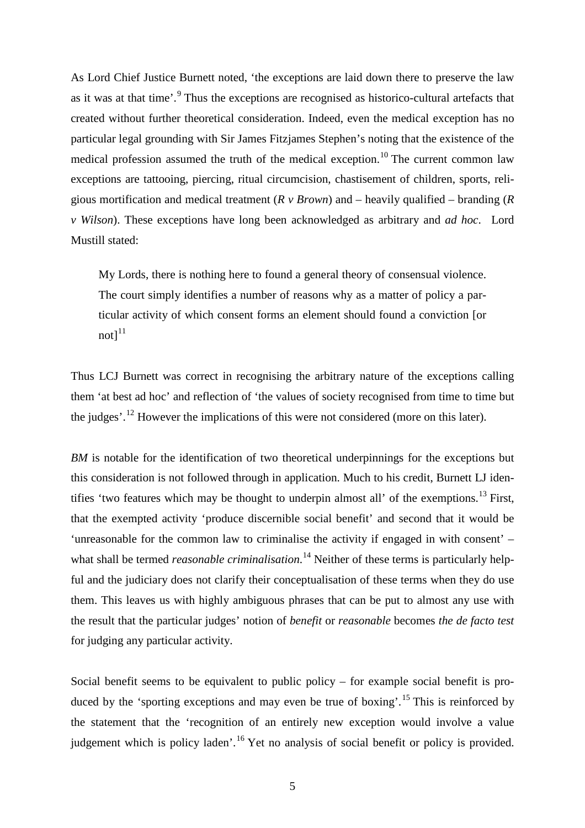As Lord Chief Justice Burnett noted, 'the exceptions are laid down there to preserve the law as it was at that time'.<sup>[9](#page-6-0)</sup> Thus the exceptions are recognised as historico-cultural artefacts that created without further theoretical consideration. Indeed, even the medical exception has no particular legal grounding with Sir James Fitzjames Stephen's noting that the existence of the medical profession assumed the truth of the medical exception.<sup>[10](#page-6-1)</sup> The current common law exceptions are tattooing, piercing, ritual circumcision, chastisement of children, sports, religious mortification and medical treatment (*R v Brown*) and – heavily qualified – branding (*R v Wilson*). These exceptions have long been acknowledged as arbitrary and *ad hoc*. Lord Mustill stated:

<span id="page-4-0"></span>My Lords, there is nothing here to found a general theory of consensual violence. The court simply identifies a number of reasons why as a matter of policy a particular activity of which consent forms an element should found a conviction [or  $not]$ <sup>[11](#page-6-2)</sup>

<span id="page-4-6"></span><span id="page-4-5"></span><span id="page-4-4"></span><span id="page-4-3"></span><span id="page-4-2"></span><span id="page-4-1"></span>Thus LCJ Burnett was correct in recognising the arbitrary nature of the exceptions calling them 'at best ad hoc' and reflection of 'the values of society recognised from time to time but the judges'.<sup>[12](#page-6-3)</sup> However the implications of this were not considered (more on this later).

*BM* is notable for the identification of two theoretical underpinnings for the exceptions but this consideration is not followed through in application. Much to his credit, Burnett LJ iden-tifies 'two features which may be thought to underpin almost all' of the exemptions.<sup>[13](#page-6-4)</sup> First, that the exempted activity 'produce discernible social benefit' and second that it would be 'unreasonable for the common law to criminalise the activity if engaged in with consent' – what shall be termed *reasonable criminalisation*. [14](#page-6-5) Neither of these terms is particularly helpful and the judiciary does not clarify their conceptualisation of these terms when they do use them. This leaves us with highly ambiguous phrases that can be put to almost any use with the result that the particular judges' notion of *benefit* or *reasonable* becomes *the de facto test* for judging any particular activity.

Social benefit seems to be equivalent to public policy – for example social benefit is pro-duced by the 'sporting exceptions and may even be true of boxing'.<sup>[15](#page-6-6)</sup> This is reinforced by the statement that the 'recognition of an entirely new exception would involve a value judgement which is policy laden'.<sup>[16](#page-6-7)</sup> Yet no analysis of social benefit or policy is provided.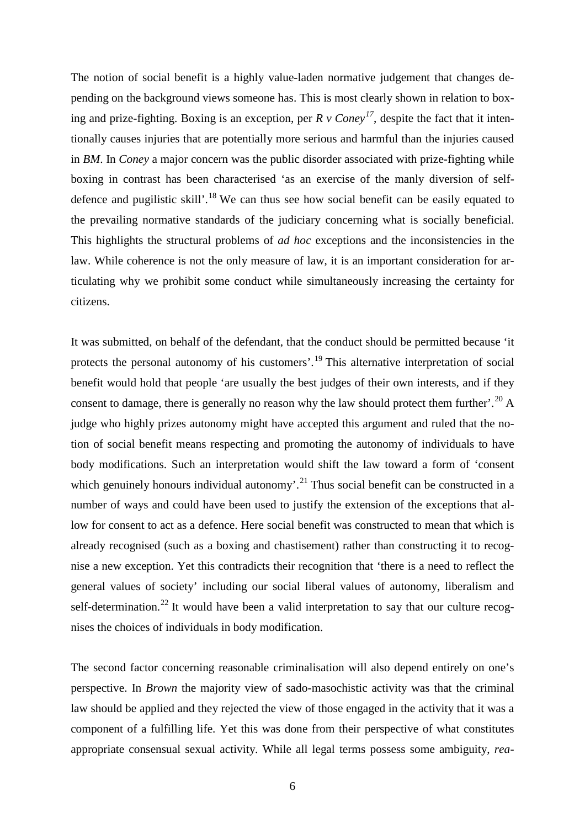The notion of social benefit is a highly value-laden normative judgement that changes depending on the background views someone has. This is most clearly shown in relation to boxing and prize-fighting. Boxing is an exception, per  $R \nu$  Coney<sup>[17](#page-7-0)</sup>, despite the fact that it intentionally causes injuries that are potentially more serious and harmful than the injuries caused in *BM*. In *Coney* a major concern was the public disorder associated with prize-fighting while boxing in contrast has been characterised 'as an exercise of the manly diversion of self-defence and pugilistic skill'.<sup>[18](#page-7-1)</sup> We can thus see how social benefit can be easily equated to the prevailing normative standards of the judiciary concerning what is socially beneficial. This highlights the structural problems of *ad hoc* exceptions and the inconsistencies in the law. While coherence is not the only measure of law, it is an important consideration for articulating why we prohibit some conduct while simultaneously increasing the certainty for citizens.

<span id="page-5-0"></span>It was submitted, on behalf of the defendant, that the conduct should be permitted because 'it protects the personal autonomy of his customers'.<sup>[19](#page-7-2)</sup> This alternative interpretation of social benefit would hold that people 'are usually the best judges of their own interests, and if they consent to damage, there is generally no reason why the law should protect them further'.<sup>[20](#page-7-3)</sup> A judge who highly prizes autonomy might have accepted this argument and ruled that the notion of social benefit means respecting and promoting the autonomy of individuals to have body modifications. Such an interpretation would shift the law toward a form of 'consent which genuinely honours individual autonomy'.<sup>[21](#page-7-4)</sup> Thus social benefit can be constructed in a number of ways and could have been used to justify the extension of the exceptions that allow for consent to act as a defence. Here social benefit was constructed to mean that which is already recognised (such as a boxing and chastisement) rather than constructing it to recognise a new exception. Yet this contradicts their recognition that 'there is a need to reflect the general values of society' including our social liberal values of autonomy, liberalism and self-determination.<sup>[22](#page-7-5)</sup> It would have been a valid interpretation to say that our culture recognises the choices of individuals in body modification.

The second factor concerning reasonable criminalisation will also depend entirely on one's perspective. In *Brown* the majority view of sado-masochistic activity was that the criminal law should be applied and they rejected the view of those engaged in the activity that it was a component of a fulfilling life. Yet this was done from their perspective of what constitutes appropriate consensual sexual activity. While all legal terms possess some ambiguity, *rea-*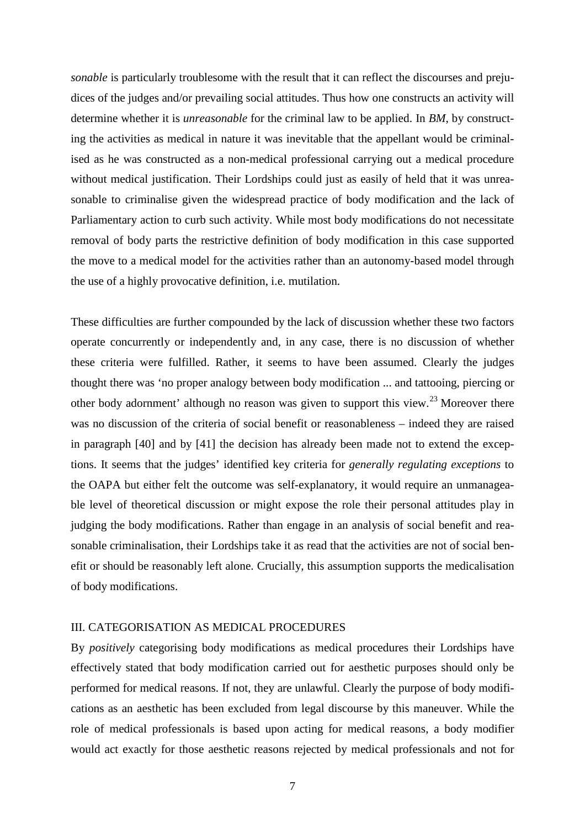*sonable* is particularly troublesome with the result that it can reflect the discourses and prejudices of the judges and/or prevailing social attitudes. Thus how one constructs an activity will determine whether it is *unreasonable* for the criminal law to be applied. In *BM*, by constructing the activities as medical in nature it was inevitable that the appellant would be criminalised as he was constructed as a non-medical professional carrying out a medical procedure without medical justification. Their Lordships could just as easily of held that it was unreasonable to criminalise given the widespread practice of body modification and the lack of Parliamentary action to curb such activity. While most body modifications do not necessitate removal of body parts the restrictive definition of body modification in this case supported the move to a medical model for the activities rather than an autonomy-based model through the use of a highly provocative definition, i.e. mutilation.

<span id="page-6-6"></span><span id="page-6-5"></span><span id="page-6-4"></span><span id="page-6-3"></span><span id="page-6-2"></span><span id="page-6-1"></span><span id="page-6-0"></span>These difficulties are further compounded by the lack of discussion whether these two factors operate concurrently or independently and, in any case, there is no discussion of whether these criteria were fulfilled. Rather, it seems to have been assumed. Clearly the judges thought there was 'no proper analogy between body modification ... and tattooing, piercing or other body adornment' although no reason was given to support this view.<sup>[23](#page-8-0)</sup> Moreover there was no discussion of the criteria of social benefit or reasonableness – indeed they are raised in paragraph [40] and by [41] the decision has already been made not to extend the exceptions. It seems that the judges' identified key criteria for *generally regulating exceptions* to the OAPA but either felt the outcome was self-explanatory, it would require an unmanageable level of theoretical discussion or might expose the role their personal attitudes play in judging the body modifications. Rather than engage in an analysis of social benefit and reasonable criminalisation, their Lordships take it as read that the activities are not of social benefit or should be reasonably left alone. Crucially, this assumption supports the medicalisation of body modifications.

### <span id="page-6-7"></span>III. CATEGORISATION AS MEDICAL PROCEDURES

By *positively* categorising body modifications as medical procedures their Lordships have effectively stated that body modification carried out for aesthetic purposes should only be performed for medical reasons. If not, they are unlawful. Clearly the purpose of body modifications as an aesthetic has been excluded from legal discourse by this maneuver. While the role of medical professionals is based upon acting for medical reasons, a body modifier would act exactly for those aesthetic reasons rejected by medical professionals and not for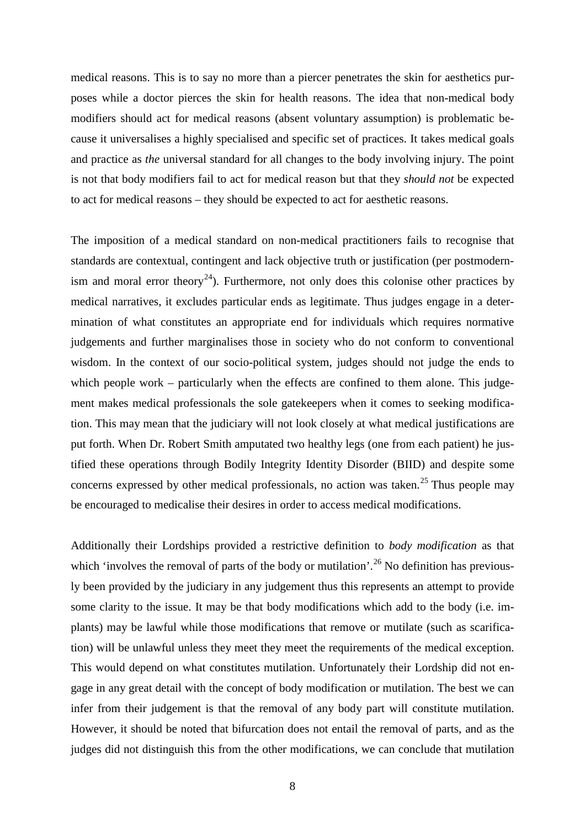medical reasons. This is to say no more than a piercer penetrates the skin for aesthetics purposes while a doctor pierces the skin for health reasons. The idea that non-medical body modifiers should act for medical reasons (absent voluntary assumption) is problematic because it universalises a highly specialised and specific set of practices. It takes medical goals and practice as *the* universal standard for all changes to the body involving injury. The point is not that body modifiers fail to act for medical reason but that they *should not* be expected to act for medical reasons – they should be expected to act for aesthetic reasons.

The imposition of a medical standard on non-medical practitioners fails to recognise that standards are contextual, contingent and lack objective truth or justification (per postmodern-ism and moral error theory<sup>[24](#page-9-0)</sup>). Furthermore, not only does this colonise other practices by medical narratives, it excludes particular ends as legitimate. Thus judges engage in a determination of what constitutes an appropriate end for individuals which requires normative judgements and further marginalises those in society who do not conform to conventional wisdom. In the context of our socio-political system, judges should not judge the ends to which people work – particularly when the effects are confined to them alone. This judgement makes medical professionals the sole gatekeepers when it comes to seeking modification. This may mean that the judiciary will not look closely at what medical justifications are put forth. When Dr. Robert Smith amputated two healthy legs (one from each patient) he justified these operations through Bodily Integrity Identity Disorder (BIID) and despite some concerns expressed by other medical professionals, no action was taken.<sup>[25](#page-9-1)</sup> Thus people may be encouraged to medicalise their desires in order to access medical modifications.

<span id="page-7-5"></span><span id="page-7-4"></span><span id="page-7-3"></span><span id="page-7-2"></span><span id="page-7-1"></span><span id="page-7-0"></span>Additionally their Lordships provided a restrictive definition to *body modification* as that which 'involves the removal of parts of the body or mutilation'.<sup>[26](#page-9-2)</sup> No definition has previously been provided by the judiciary in any judgement thus this represents an attempt to provide some clarity to the issue. It may be that body modifications which add to the body (i.e. implants) may be lawful while those modifications that remove or mutilate (such as scarification) will be unlawful unless they meet they meet the requirements of the medical exception. This would depend on what constitutes mutilation. Unfortunately their Lordship did not engage in any great detail with the concept of body modification or mutilation. The best we can infer from their judgement is that the removal of any body part will constitute mutilation. However, it should be noted that bifurcation does not entail the removal of parts, and as the judges did not distinguish this from the other modifications, we can conclude that mutilation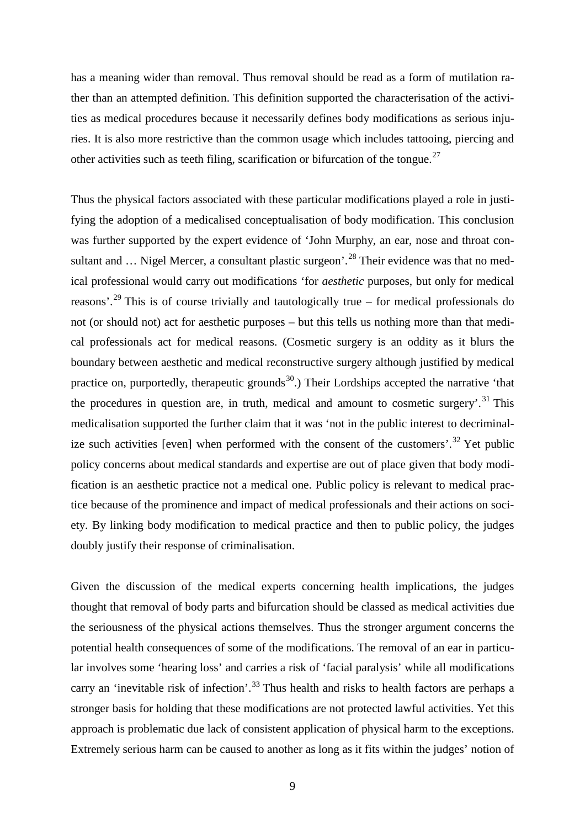has a meaning wider than removal. Thus removal should be read as a form of mutilation rather than an attempted definition. This definition supported the characterisation of the activities as medical procedures because it necessarily defines body modifications as serious injuries. It is also more restrictive than the common usage which includes tattooing, piercing and other activities such as teeth filing, scarification or bifurcation of the tongue.<sup>[27](#page-10-0)</sup>

Thus the physical factors associated with these particular modifications played a role in justifying the adoption of a medicalised conceptualisation of body modification. This conclusion was further supported by the expert evidence of 'John Murphy, an ear, nose and throat consultant and  $\ldots$  Nigel Mercer, a consultant plastic surgeon'.<sup>[28](#page-10-1)</sup> Their evidence was that no medical professional would carry out modifications 'for *aesthetic* purposes, but only for medical reasons'.<sup>[29](#page-10-2)</sup> This is of course trivially and tautologically true – for medical professionals do not (or should not) act for aesthetic purposes – but this tells us nothing more than that medical professionals act for medical reasons. (Cosmetic surgery is an oddity as it blurs the boundary between aesthetic and medical reconstructive surgery although justified by medical practice on, purportedly, therapeutic grounds<sup>[30](#page-10-3)</sup>.) Their Lordships accepted the narrative 'that the procedures in question are, in truth, medical and amount to cosmetic surgery'.<sup>[31](#page-10-4)</sup> This medicalisation supported the further claim that it was 'not in the public interest to decriminal-ize such activities [even] when performed with the consent of the customers'.<sup>[32](#page-10-5)</sup> Yet public policy concerns about medical standards and expertise are out of place given that body modification is an aesthetic practice not a medical one. Public policy is relevant to medical practice because of the prominence and impact of medical professionals and their actions on society. By linking body modification to medical practice and then to public policy, the judges doubly justify their response of criminalisation.

<span id="page-8-0"></span>Given the discussion of the medical experts concerning health implications, the judges thought that removal of body parts and bifurcation should be classed as medical activities due the seriousness of the physical actions themselves. Thus the stronger argument concerns the potential health consequences of some of the modifications. The removal of an ear in particular involves some 'hearing loss' and carries a risk of 'facial paralysis' while all modifications carry an 'inevitable risk of infection'.<sup>[33](#page-10-6)</sup> Thus health and risks to health factors are perhaps a stronger basis for holding that these modifications are not protected lawful activities. Yet this approach is problematic due lack of consistent application of physical harm to the exceptions. Extremely serious harm can be caused to another as long as it fits within the judges' notion of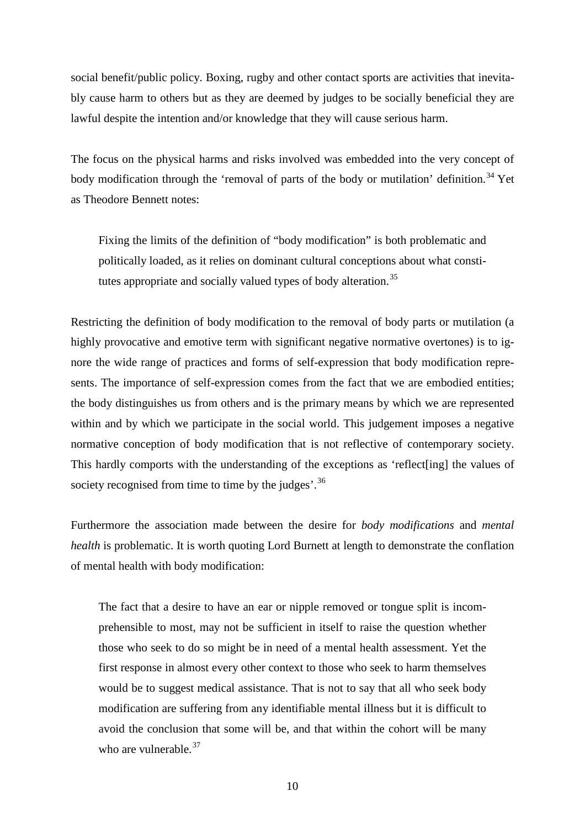social benefit/public policy. Boxing, rugby and other contact sports are activities that inevitably cause harm to others but as they are deemed by judges to be socially beneficial they are lawful despite the intention and/or knowledge that they will cause serious harm.

The focus on the physical harms and risks involved was embedded into the very concept of body modification through the 'removal of parts of the body or mutilation' definition.<sup>[34](#page-11-0)</sup> Yet as Theodore Bennett notes:

Fixing the limits of the definition of "body modification" is both problematic and politically loaded, as it relies on dominant cultural conceptions about what consti-tutes appropriate and socially valued types of body alteration.<sup>[35](#page-11-1)</sup>

Restricting the definition of body modification to the removal of body parts or mutilation (a highly provocative and emotive term with significant negative normative overtones) is to ignore the wide range of practices and forms of self-expression that body modification represents. The importance of self-expression comes from the fact that we are embodied entities; the body distinguishes us from others and is the primary means by which we are represented within and by which we participate in the social world. This judgement imposes a negative normative conception of body modification that is not reflective of contemporary society. This hardly comports with the understanding of the exceptions as 'reflect[ing] the values of society recognised from time to time by the judges'.<sup>[36](#page-11-2)</sup>

Furthermore the association made between the desire for *body modifications* and *mental health* is problematic. It is worth quoting Lord Burnett at length to demonstrate the conflation of mental health with body modification:

<span id="page-9-2"></span><span id="page-9-1"></span><span id="page-9-0"></span>The fact that a desire to have an ear or nipple removed or tongue split is incomprehensible to most, may not be sufficient in itself to raise the question whether those who seek to do so might be in need of a mental health assessment. Yet the first response in almost every other context to those who seek to harm themselves would be to suggest medical assistance. That is not to say that all who seek body modification are suffering from any identifiable mental illness but it is difficult to avoid the conclusion that some will be, and that within the cohort will be many who are vulnerable.<sup>[37](#page-11-3)</sup>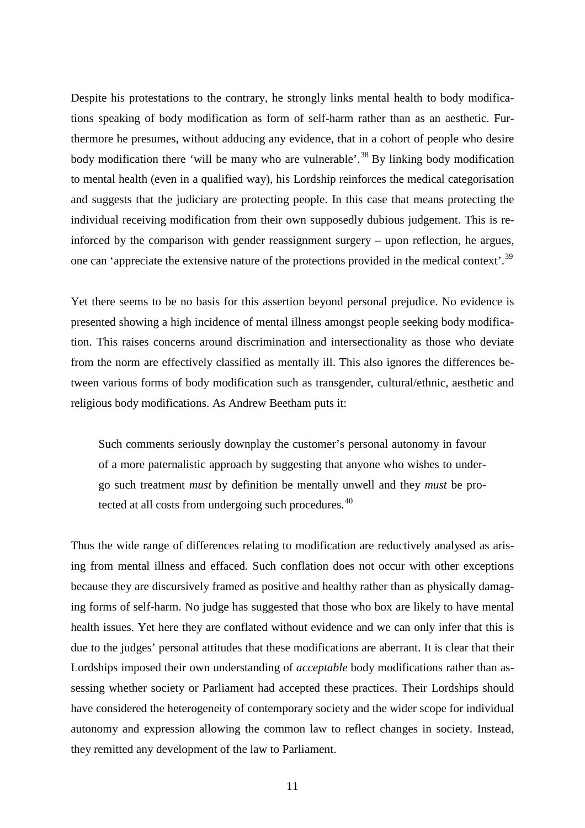Despite his protestations to the contrary, he strongly links mental health to body modifications speaking of body modification as form of self-harm rather than as an aesthetic. Furthermore he presumes, without adducing any evidence, that in a cohort of people who desire body modification there 'will be many who are vulnerable'.<sup>[38](#page-12-0)</sup> By linking body modification to mental health (even in a qualified way), his Lordship reinforces the medical categorisation and suggests that the judiciary are protecting people. In this case that means protecting the individual receiving modification from their own supposedly dubious judgement. This is reinforced by the comparison with gender reassignment surgery – upon reflection, he argues, one can 'appreciate the extensive nature of the protections provided in the medical context'.<sup>[39](#page-12-1)</sup>

Yet there seems to be no basis for this assertion beyond personal prejudice. No evidence is presented showing a high incidence of mental illness amongst people seeking body modification. This raises concerns around discrimination and intersectionality as those who deviate from the norm are effectively classified as mentally ill. This also ignores the differences between various forms of body modification such as transgender, cultural/ethnic, aesthetic and religious body modifications. As Andrew Beetham puts it:

Such comments seriously downplay the customer's personal autonomy in favour of a more paternalistic approach by suggesting that anyone who wishes to undergo such treatment *must* by definition be mentally unwell and they *must* be pro-tected at all costs from undergoing such procedures.<sup>[40](#page-12-2)</sup>

<span id="page-10-6"></span><span id="page-10-5"></span><span id="page-10-4"></span><span id="page-10-3"></span><span id="page-10-2"></span><span id="page-10-1"></span><span id="page-10-0"></span>Thus the wide range of differences relating to modification are reductively analysed as arising from mental illness and effaced. Such conflation does not occur with other exceptions because they are discursively framed as positive and healthy rather than as physically damaging forms of self-harm. No judge has suggested that those who box are likely to have mental health issues. Yet here they are conflated without evidence and we can only infer that this is due to the judges' personal attitudes that these modifications are aberrant. It is clear that their Lordships imposed their own understanding of *acceptable* body modifications rather than assessing whether society or Parliament had accepted these practices. Their Lordships should have considered the heterogeneity of contemporary society and the wider scope for individual autonomy and expression allowing the common law to reflect changes in society. Instead, they remitted any development of the law to Parliament.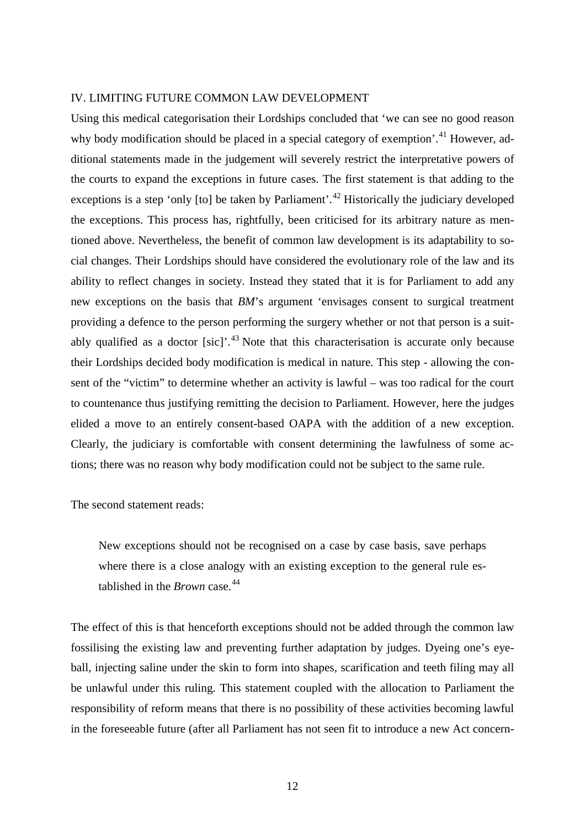## <span id="page-11-0"></span>IV. LIMITING FUTURE COMMON LAW DEVELOPMENT

<span id="page-11-3"></span><span id="page-11-2"></span><span id="page-11-1"></span>Using this medical categorisation their Lordships concluded that 'we can see no good reason why body modification should be placed in a special category of exemption'.<sup>[41](#page-13-0)</sup> However, additional statements made in the judgement will severely restrict the interpretative powers of the courts to expand the exceptions in future cases. The first statement is that adding to the exceptions is a step 'only  $\lceil \text{tol} \rceil$  be taken by Parliament'.<sup>[42](#page-13-1)</sup> Historically the judiciary developed the exceptions. This process has, rightfully, been criticised for its arbitrary nature as mentioned above. Nevertheless, the benefit of common law development is its adaptability to social changes. Their Lordships should have considered the evolutionary role of the law and its ability to reflect changes in society. Instead they stated that it is for Parliament to add any new exceptions on the basis that *BM*'s argument 'envisages consent to surgical treatment providing a defence to the person performing the surgery whether or not that person is a suitably qualified as a doctor  $[sic]$ <sup>[43](#page-13-2)</sup>. Note that this characterisation is accurate only because their Lordships decided body modification is medical in nature. This step - allowing the consent of the "victim" to determine whether an activity is lawful – was too radical for the court to countenance thus justifying remitting the decision to Parliament. However, here the judges elided a move to an entirely consent-based OAPA with the addition of a new exception. Clearly, the judiciary is comfortable with consent determining the lawfulness of some actions; there was no reason why body modification could not be subject to the same rule.

## The second statement reads:

New exceptions should not be recognised on a case by case basis, save perhaps where there is a close analogy with an existing exception to the general rule established in the *Brown* case. [44](#page-13-3)

The effect of this is that henceforth exceptions should not be added through the common law fossilising the existing law and preventing further adaptation by judges. Dyeing one's eyeball, injecting saline under the skin to form into shapes, scarification and teeth filing may all be unlawful under this ruling. This statement coupled with the allocation to Parliament the responsibility of reform means that there is no possibility of these activities becoming lawful in the foreseeable future (after all Parliament has not seen fit to introduce a new Act concern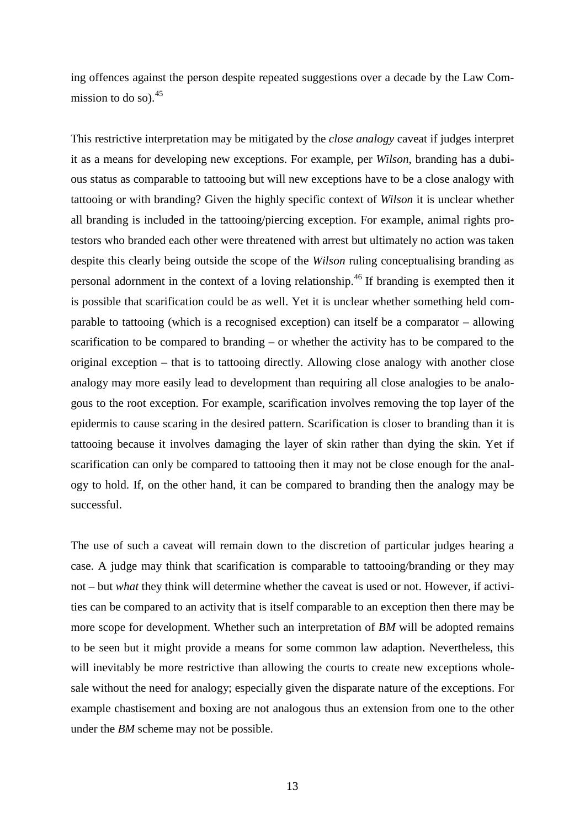ing offences against the person despite repeated suggestions over a decade by the Law Commission to do so).  $45$ 

<span id="page-12-2"></span><span id="page-12-1"></span><span id="page-12-0"></span>This restrictive interpretation may be mitigated by the *close analogy* caveat if judges interpret it as a means for developing new exceptions. For example, per *Wilson*, branding has a dubious status as comparable to tattooing but will new exceptions have to be a close analogy with tattooing or with branding? Given the highly specific context of *Wilson* it is unclear whether all branding is included in the tattooing/piercing exception. For example, animal rights protestors who branded each other were threatened with arrest but ultimately no action was taken despite this clearly being outside the scope of the *Wilson* ruling conceptualising branding as personal adornment in the context of a loving relationship.[46](#page-14-1) If branding is exempted then it is possible that scarification could be as well. Yet it is unclear whether something held comparable to tattooing (which is a recognised exception) can itself be a comparator – allowing scarification to be compared to branding – or whether the activity has to be compared to the original exception – that is to tattooing directly. Allowing close analogy with another close analogy may more easily lead to development than requiring all close analogies to be analogous to the root exception. For example, scarification involves removing the top layer of the epidermis to cause scaring in the desired pattern. Scarification is closer to branding than it is tattooing because it involves damaging the layer of skin rather than dying the skin. Yet if scarification can only be compared to tattooing then it may not be close enough for the analogy to hold. If, on the other hand, it can be compared to branding then the analogy may be successful.

The use of such a caveat will remain down to the discretion of particular judges hearing a case. A judge may think that scarification is comparable to tattooing/branding or they may not – but *what* they think will determine whether the caveat is used or not. However, if activities can be compared to an activity that is itself comparable to an exception then there may be more scope for development. Whether such an interpretation of *BM* will be adopted remains to be seen but it might provide a means for some common law adaption. Nevertheless, this will inevitably be more restrictive than allowing the courts to create new exceptions wholesale without the need for analogy; especially given the disparate nature of the exceptions. For example chastisement and boxing are not analogous thus an extension from one to the other under the *BM* scheme may not be possible.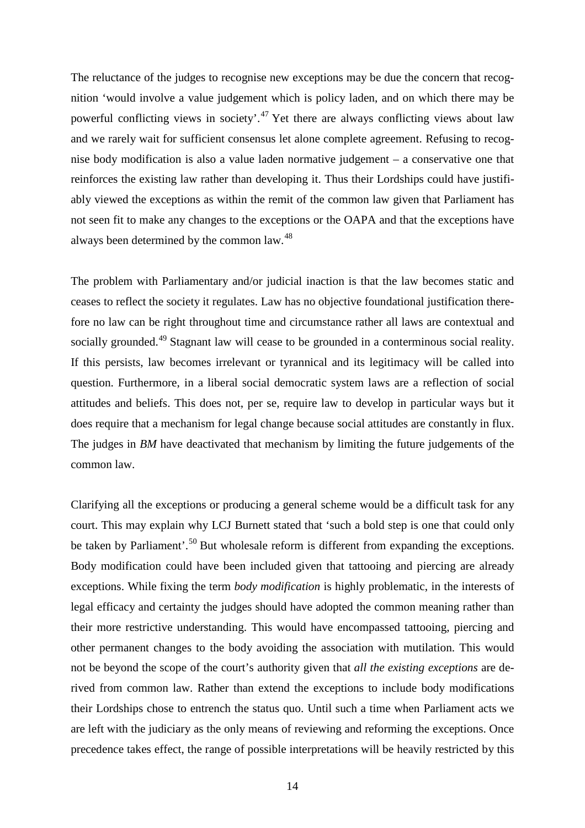The reluctance of the judges to recognise new exceptions may be due the concern that recognition 'would involve a value judgement which is policy laden, and on which there may be powerful conflicting views in society'.<sup>[47](#page-15-0)</sup> Yet there are always conflicting views about law and we rarely wait for sufficient consensus let alone complete agreement. Refusing to recognise body modification is also a value laden normative judgement – a conservative one that reinforces the existing law rather than developing it. Thus their Lordships could have justifiably viewed the exceptions as within the remit of the common law given that Parliament has not seen fit to make any changes to the exceptions or the OAPA and that the exceptions have always been determined by the common law.<sup>[48](#page-15-1)</sup>

<span id="page-13-3"></span><span id="page-13-2"></span><span id="page-13-1"></span><span id="page-13-0"></span>The problem with Parliamentary and/or judicial inaction is that the law becomes static and ceases to reflect the society it regulates. Law has no objective foundational justification therefore no law can be right throughout time and circumstance rather all laws are contextual and socially grounded.<sup>[49](#page-15-2)</sup> Stagnant law will cease to be grounded in a conterminous social reality. If this persists, law becomes irrelevant or tyrannical and its legitimacy will be called into question. Furthermore, in a liberal social democratic system laws are a reflection of social attitudes and beliefs. This does not, per se, require law to develop in particular ways but it does require that a mechanism for legal change because social attitudes are constantly in flux. The judges in *BM* have deactivated that mechanism by limiting the future judgements of the common law.

Clarifying all the exceptions or producing a general scheme would be a difficult task for any court. This may explain why LCJ Burnett stated that 'such a bold step is one that could only be taken by Parliament'.<sup>[50](#page-15-3)</sup> But wholesale reform is different from expanding the exceptions. Body modification could have been included given that tattooing and piercing are already exceptions. While fixing the term *body modification* is highly problematic, in the interests of legal efficacy and certainty the judges should have adopted the common meaning rather than their more restrictive understanding. This would have encompassed tattooing, piercing and other permanent changes to the body avoiding the association with mutilation. This would not be beyond the scope of the court's authority given that *all the existing exceptions* are derived from common law. Rather than extend the exceptions to include body modifications their Lordships chose to entrench the status quo. Until such a time when Parliament acts we are left with the judiciary as the only means of reviewing and reforming the exceptions. Once precedence takes effect, the range of possible interpretations will be heavily restricted by this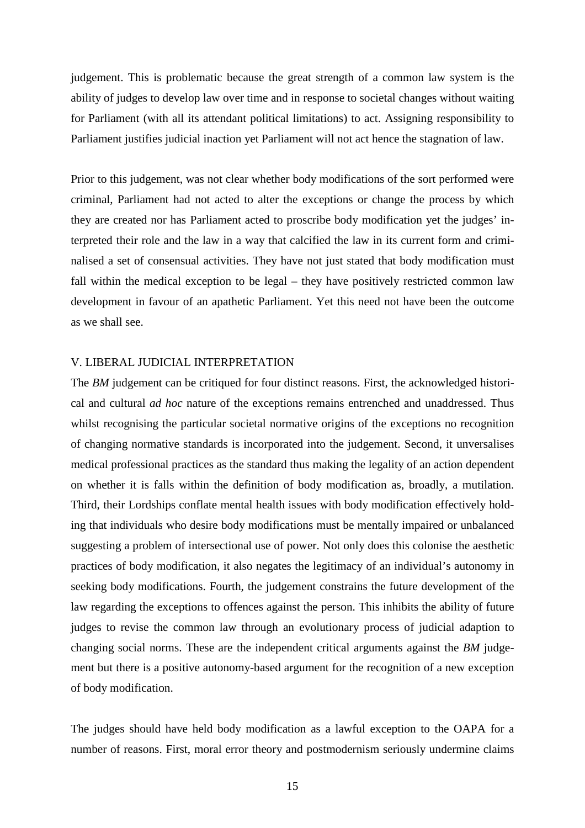judgement. This is problematic because the great strength of a common law system is the ability of judges to develop law over time and in response to societal changes without waiting for Parliament (with all its attendant political limitations) to act. Assigning responsibility to Parliament justifies judicial inaction yet Parliament will not act hence the stagnation of law.

<span id="page-14-0"></span>Prior to this judgement, was not clear whether body modifications of the sort performed were criminal, Parliament had not acted to alter the exceptions or change the process by which they are created nor has Parliament acted to proscribe body modification yet the judges' interpreted their role and the law in a way that calcified the law in its current form and criminalised a set of consensual activities. They have not just stated that body modification must fall within the medical exception to be legal – they have positively restricted common law development in favour of an apathetic Parliament. Yet this need not have been the outcome as we shall see.

# <span id="page-14-1"></span>V. LIBERAL JUDICIAL INTERPRETATION

The *BM* judgement can be critiqued for four distinct reasons. First, the acknowledged historical and cultural *ad hoc* nature of the exceptions remains entrenched and unaddressed. Thus whilst recognising the particular societal normative origins of the exceptions no recognition of changing normative standards is incorporated into the judgement. Second, it unversalises medical professional practices as the standard thus making the legality of an action dependent on whether it is falls within the definition of body modification as, broadly, a mutilation. Third, their Lordships conflate mental health issues with body modification effectively holding that individuals who desire body modifications must be mentally impaired or unbalanced suggesting a problem of intersectional use of power. Not only does this colonise the aesthetic practices of body modification, it also negates the legitimacy of an individual's autonomy in seeking body modifications. Fourth, the judgement constrains the future development of the law regarding the exceptions to offences against the person. This inhibits the ability of future judges to revise the common law through an evolutionary process of judicial adaption to changing social norms. These are the independent critical arguments against the *BM* judgement but there is a positive autonomy-based argument for the recognition of a new exception of body modification.

The judges should have held body modification as a lawful exception to the OAPA for a number of reasons. First, moral error theory and postmodernism seriously undermine claims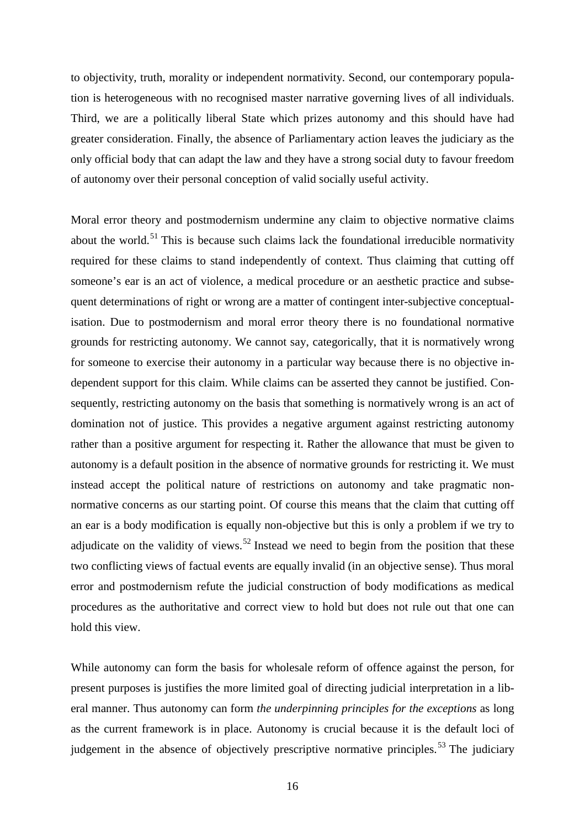to objectivity, truth, morality or independent normativity. Second, our contemporary population is heterogeneous with no recognised master narrative governing lives of all individuals. Third, we are a politically liberal State which prizes autonomy and this should have had greater consideration. Finally, the absence of Parliamentary action leaves the judiciary as the only official body that can adapt the law and they have a strong social duty to favour freedom of autonomy over their personal conception of valid socially useful activity.

<span id="page-15-3"></span><span id="page-15-2"></span><span id="page-15-1"></span><span id="page-15-0"></span>Moral error theory and postmodernism undermine any claim to objective normative claims about the world.<sup>[51](#page-16-0)</sup> This is because such claims lack the foundational irreducible normativity required for these claims to stand independently of context. Thus claiming that cutting off someone's ear is an act of violence, a medical procedure or an aesthetic practice and subsequent determinations of right or wrong are a matter of contingent inter-subjective conceptualisation. Due to postmodernism and moral error theory there is no foundational normative grounds for restricting autonomy. We cannot say, categorically, that it is normatively wrong for someone to exercise their autonomy in a particular way because there is no objective independent support for this claim. While claims can be asserted they cannot be justified. Consequently, restricting autonomy on the basis that something is normatively wrong is an act of domination not of justice. This provides a negative argument against restricting autonomy rather than a positive argument for respecting it. Rather the allowance that must be given to autonomy is a default position in the absence of normative grounds for restricting it. We must instead accept the political nature of restrictions on autonomy and take pragmatic nonnormative concerns as our starting point. Of course this means that the claim that cutting off an ear is a body modification is equally non-objective but this is only a problem if we try to adjudicate on the validity of views.<sup>[52](#page-16-1)</sup> Instead we need to begin from the position that these two conflicting views of factual events are equally invalid (in an objective sense). Thus moral error and postmodernism refute the judicial construction of body modifications as medical procedures as the authoritative and correct view to hold but does not rule out that one can hold this view.

While autonomy can form the basis for wholesale reform of offence against the person, for present purposes is justifies the more limited goal of directing judicial interpretation in a liberal manner. Thus autonomy can form *the underpinning principles for the exceptions* as long as the current framework is in place. Autonomy is crucial because it is the default loci of judgement in the absence of objectively prescriptive normative principles.<sup>[53](#page-16-2)</sup> The judiciary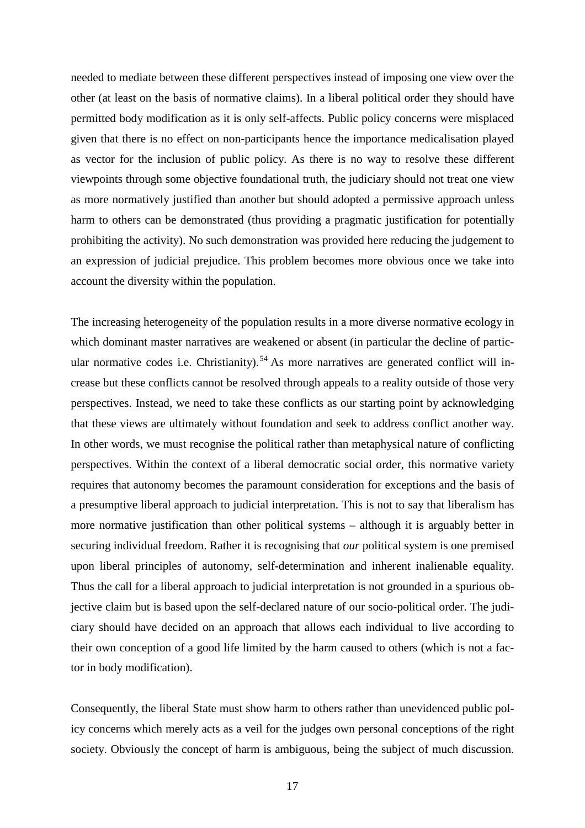needed to mediate between these different perspectives instead of imposing one view over the other (at least on the basis of normative claims). In a liberal political order they should have permitted body modification as it is only self-affects. Public policy concerns were misplaced given that there is no effect on non-participants hence the importance medicalisation played as vector for the inclusion of public policy. As there is no way to resolve these different viewpoints through some objective foundational truth, the judiciary should not treat one view as more normatively justified than another but should adopted a permissive approach unless harm to others can be demonstrated (thus providing a pragmatic justification for potentially prohibiting the activity). No such demonstration was provided here reducing the judgement to an expression of judicial prejudice. This problem becomes more obvious once we take into account the diversity within the population.

<span id="page-16-2"></span><span id="page-16-1"></span><span id="page-16-0"></span>The increasing heterogeneity of the population results in a more diverse normative ecology in which dominant master narratives are weakened or absent (in particular the decline of partic-ular normative codes i.e. Christianity).<sup>[54](#page-17-0)</sup> As more narratives are generated conflict will increase but these conflicts cannot be resolved through appeals to a reality outside of those very perspectives. Instead, we need to take these conflicts as our starting point by acknowledging that these views are ultimately without foundation and seek to address conflict another way. In other words, we must recognise the political rather than metaphysical nature of conflicting perspectives. Within the context of a liberal democratic social order, this normative variety requires that autonomy becomes the paramount consideration for exceptions and the basis of a presumptive liberal approach to judicial interpretation. This is not to say that liberalism has more normative justification than other political systems – although it is arguably better in securing individual freedom. Rather it is recognising that *our* political system is one premised upon liberal principles of autonomy, self-determination and inherent inalienable equality. Thus the call for a liberal approach to judicial interpretation is not grounded in a spurious objective claim but is based upon the self-declared nature of our socio-political order. The judiciary should have decided on an approach that allows each individual to live according to their own conception of a good life limited by the harm caused to others (which is not a factor in body modification).

Consequently, the liberal State must show harm to others rather than unevidenced public policy concerns which merely acts as a veil for the judges own personal conceptions of the right society. Obviously the concept of harm is ambiguous, being the subject of much discussion.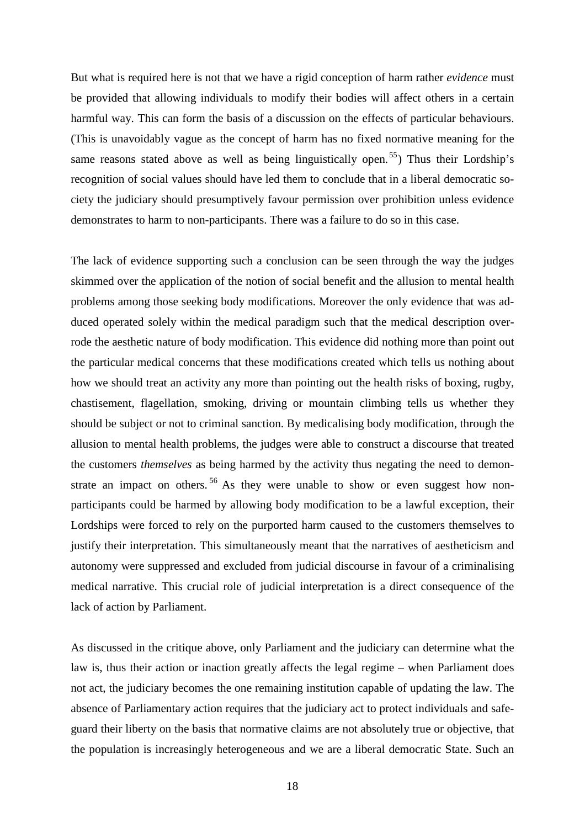But what is required here is not that we have a rigid conception of harm rather *evidence* must be provided that allowing individuals to modify their bodies will affect others in a certain harmful way. This can form the basis of a discussion on the effects of particular behaviours. (This is unavoidably vague as the concept of harm has no fixed normative meaning for the same reasons stated above as well as being linguistically open.<sup>[55](#page-18-0)</sup>) Thus their Lordship's recognition of social values should have led them to conclude that in a liberal democratic society the judiciary should presumptively favour permission over prohibition unless evidence demonstrates to harm to non-participants. There was a failure to do so in this case.

The lack of evidence supporting such a conclusion can be seen through the way the judges skimmed over the application of the notion of social benefit and the allusion to mental health problems among those seeking body modifications. Moreover the only evidence that was adduced operated solely within the medical paradigm such that the medical description overrode the aesthetic nature of body modification. This evidence did nothing more than point out the particular medical concerns that these modifications created which tells us nothing about how we should treat an activity any more than pointing out the health risks of boxing, rugby, chastisement, flagellation, smoking, driving or mountain climbing tells us whether they should be subject or not to criminal sanction. By medicalising body modification, through the allusion to mental health problems, the judges were able to construct a discourse that treated the customers *themselves* as being harmed by the activity thus negating the need to demonstrate an impact on others.  $56$  As they were unable to show or even suggest how nonparticipants could be harmed by allowing body modification to be a lawful exception, their Lordships were forced to rely on the purported harm caused to the customers themselves to justify their interpretation. This simultaneously meant that the narratives of aestheticism and autonomy were suppressed and excluded from judicial discourse in favour of a criminalising medical narrative. This crucial role of judicial interpretation is a direct consequence of the lack of action by Parliament.

<span id="page-17-0"></span>As discussed in the critique above, only Parliament and the judiciary can determine what the law is, thus their action or inaction greatly affects the legal regime – when Parliament does not act, the judiciary becomes the one remaining institution capable of updating the law. The absence of Parliamentary action requires that the judiciary act to protect individuals and safeguard their liberty on the basis that normative claims are not absolutely true or objective, that the population is increasingly heterogeneous and we are a liberal democratic State. Such an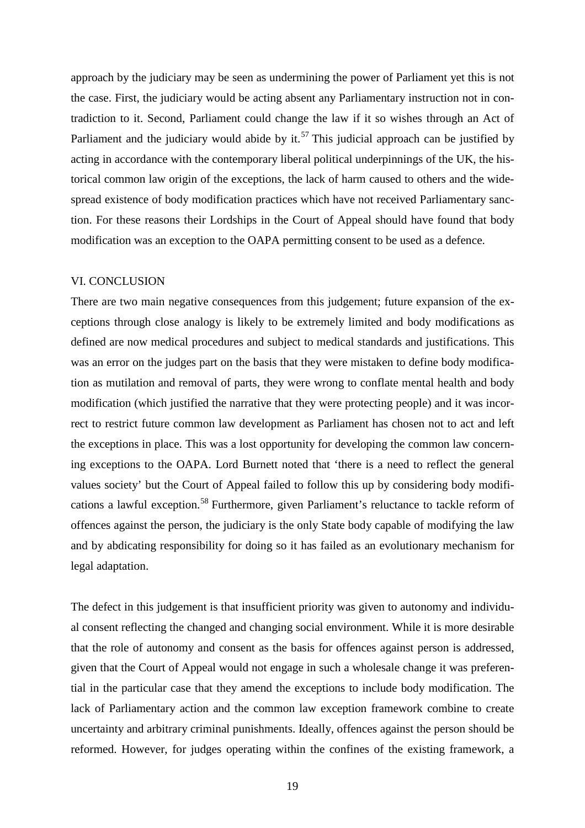approach by the judiciary may be seen as undermining the power of Parliament yet this is not the case. First, the judiciary would be acting absent any Parliamentary instruction not in contradiction to it. Second, Parliament could change the law if it so wishes through an Act of Parliament and the judiciary would abide by it.<sup>[57](#page-19-0)</sup> This judicial approach can be justified by acting in accordance with the contemporary liberal political underpinnings of the UK, the historical common law origin of the exceptions, the lack of harm caused to others and the widespread existence of body modification practices which have not received Parliamentary sanction. For these reasons their Lordships in the Court of Appeal should have found that body modification was an exception to the OAPA permitting consent to be used as a defence.

#### VI. CONCLUSION

There are two main negative consequences from this judgement; future expansion of the exceptions through close analogy is likely to be extremely limited and body modifications as defined are now medical procedures and subject to medical standards and justifications. This was an error on the judges part on the basis that they were mistaken to define body modification as mutilation and removal of parts, they were wrong to conflate mental health and body modification (which justified the narrative that they were protecting people) and it was incorrect to restrict future common law development as Parliament has chosen not to act and left the exceptions in place. This was a lost opportunity for developing the common law concerning exceptions to the OAPA. Lord Burnett noted that 'there is a need to reflect the general values society' but the Court of Appeal failed to follow this up by considering body modifi-cations a lawful exception.<sup>[58](#page-19-1)</sup> Furthermore, given Parliament's reluctance to tackle reform of offences against the person, the judiciary is the only State body capable of modifying the law and by abdicating responsibility for doing so it has failed as an evolutionary mechanism for legal adaptation.

<span id="page-18-1"></span><span id="page-18-0"></span>The defect in this judgement is that insufficient priority was given to autonomy and individual consent reflecting the changed and changing social environment. While it is more desirable that the role of autonomy and consent as the basis for offences against person is addressed, given that the Court of Appeal would not engage in such a wholesale change it was preferential in the particular case that they amend the exceptions to include body modification. The lack of Parliamentary action and the common law exception framework combine to create uncertainty and arbitrary criminal punishments. Ideally, offences against the person should be reformed. However, for judges operating within the confines of the existing framework, a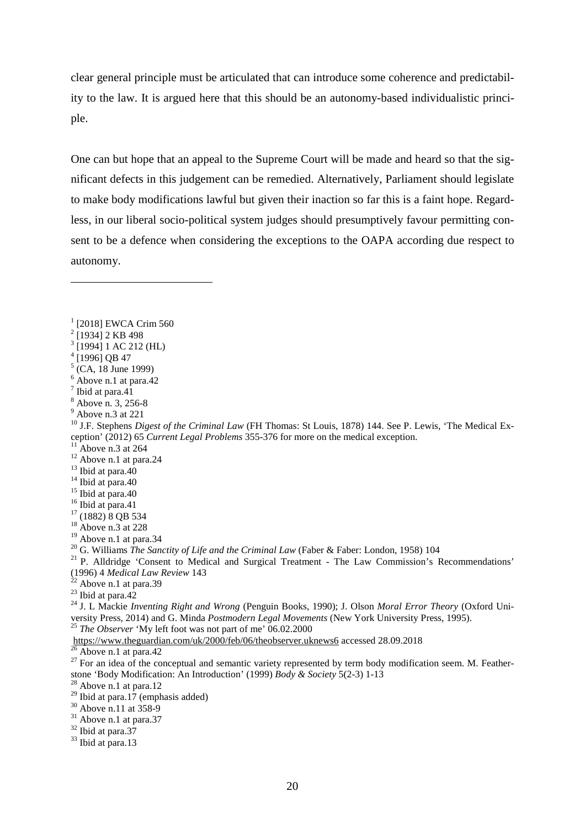clear general principle must be articulated that can introduce some coherence and predictability to the law. It is argued here that this should be an autonomy-based individualistic principle.

One can but hope that an appeal to the Supreme Court will be made and heard so that the significant defects in this judgement can be remedied. Alternatively, Parliament should legislate to make body modifications lawful but given their inaction so far this is a faint hope. Regardless, in our liberal socio-political system judges should presumptively favour permitting consent to be a defence when considering the exceptions to the OAPA according due respect to autonomy.

 $\overline{a}$ 

<sup>&</sup>lt;sup>1</sup> [2018] EWCA Crim 560

 $2$ [1934] 2 KB 498

 $3$  [1994] 1 AC 212 (HL)

 $^{4}$ [1996] QB 47

 $\int_{6}^{5}$  (CA, 18 June 1999)<br>  $\int_{6}^{5}$  Above n.1 at para.42

<sup>&</sup>lt;sup>7</sup> Ibid at para.41<br><sup>8</sup> Above n. 3, 256-8<br><sup>9</sup> Above n.3 at 221<br><sup>10</sup> J.F. Stephens *Digest of the Criminal Law* (FH Thomas: St Louis, 1878) 144. See P. Lewis, 'The Medical Exception' (2012) 65 *Current Legal Problems* 355-376 for more on the medical exception.<br><sup>11</sup> Above n.3 at 264<br><sup>12</sup> Above n.1 at para.24<br><sup>13</sup> Ibid at para.40<br><sup>14</sup> Ibid at para.40<br><sup>15</sup> Ibid at para.40<br><sup>15</sup> Ibid at para.41<br><sup>1</sup>

<span id="page-19-0"></span><sup>&</sup>lt;sup>20</sup> G. Williams *The Sanctity of Life and the Criminal Law* (Faber & Faber: London, 1958) 104<br><sup>21</sup> P. Alldridge 'Consent to Medical and Surgical Treatment - The Law Commission's Recommendations'<br>(1996) 4 *Medical Law Revi* 

<span id="page-19-1"></span><sup>&</sup>lt;sup>22</sup> Above n.1 at para.39<br><sup>23</sup> Ibid at para.42<br><sup>24</sup> J. L Mackie *Inventing Right and Wrong* (Penguin Books, 1990); J. Olson *Moral Error Theory* (Oxford University Press, 2014) and G. Minda *Postmodern Legal Movements* (New York University Press, 1995).<br><sup>25</sup> *The Observer* 'My left foot was not part of me' 06.02.2000<br>https://www.theguardian.com/uk/2000/feb/06/theobserver.ukne

<sup>&</sup>lt;sup>26</sup> Above n.1 at para.42<br><sup>27</sup> For an idea of the conceptual and semantic variety represented by term body modification seem. M. Featherstone 'Body Modification: An Introduction' (1999) *Body & Society* 5(2-3) 1-13 <sup>28</sup> Above n.1 at para.12

<sup>&</sup>lt;sup>29</sup> Ibid at para.17 (emphasis added)<br><sup>30</sup> Above n.11 at 358-9<br><sup>31</sup> Above n.1 at para.37<br><sup>32</sup> Ibid at para.37<br><sup>33</sup> Ibid at para.13